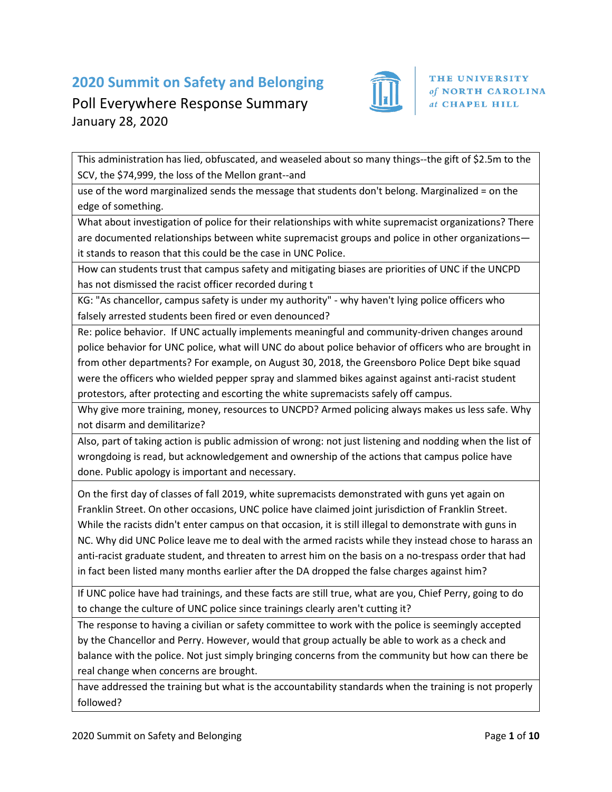## **2020 Summit on Safety and Belonging**



## Poll Everywhere Response Summary January 28, 2020

This administration has lied, obfuscated, and weaseled about so many things--the gift of \$2.5m to the SCV, the \$74,999, the loss of the Mellon grant--and

use of the word marginalized sends the message that students don't belong. Marginalized = on the edge of something.

What about investigation of police for their relationships with white supremacist organizations? There are documented relationships between white supremacist groups and police in other organizations it stands to reason that this could be the case in UNC Police.

How can students trust that campus safety and mitigating biases are priorities of UNC if the UNCPD has not dismissed the racist officer recorded during t

KG: "As chancellor, campus safety is under my authority" - why haven't lying police officers who falsely arrested students been fired or even denounced?

Re: police behavior. If UNC actually implements meaningful and community-driven changes around police behavior for UNC police, what will UNC do about police behavior of officers who are brought in from other departments? For example, on August 30, 2018, the Greensboro Police Dept bike squad were the officers who wielded pepper spray and slammed bikes against against anti-racist student protestors, after protecting and escorting the white supremacists safely off campus.

Why give more training, money, resources to UNCPD? Armed policing always makes us less safe. Why not disarm and demilitarize?

Also, part of taking action is public admission of wrong: not just listening and nodding when the list of wrongdoing is read, but acknowledgement and ownership of the actions that campus police have done. Public apology is important and necessary.

On the first day of classes of fall 2019, white supremacists demonstrated with guns yet again on Franklin Street. On other occasions, UNC police have claimed joint jurisdiction of Franklin Street. While the racists didn't enter campus on that occasion, it is still illegal to demonstrate with guns in NC. Why did UNC Police leave me to deal with the armed racists while they instead chose to harass an anti-racist graduate student, and threaten to arrest him on the basis on a no-trespass order that had in fact been listed many months earlier after the DA dropped the false charges against him?

If UNC police have had trainings, and these facts are still true, what are you, Chief Perry, going to do to change the culture of UNC police since trainings clearly aren't cutting it?

The response to having a civilian or safety committee to work with the police is seemingly accepted by the Chancellor and Perry. However, would that group actually be able to work as a check and balance with the police. Not just simply bringing concerns from the community but how can there be real change when concerns are brought.

have addressed the training but what is the accountability standards when the training is not properly followed?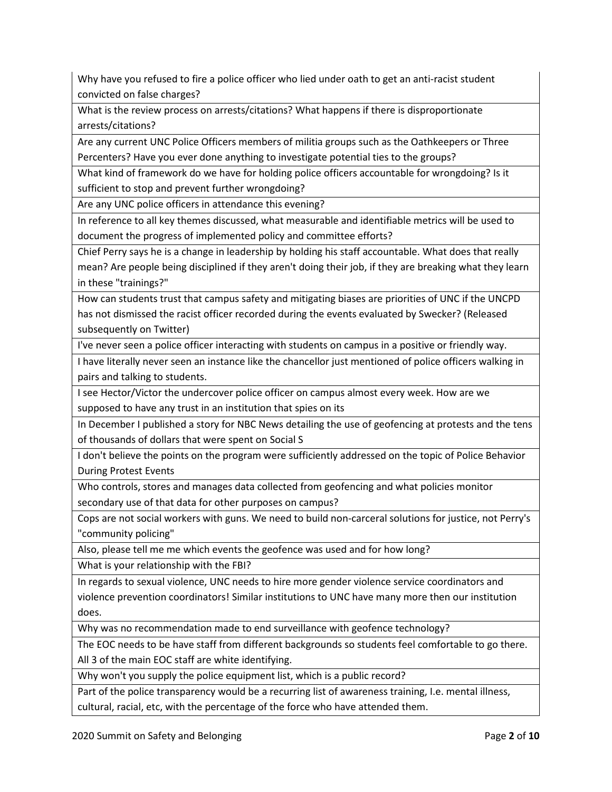Why have you refused to fire a police officer who lied under oath to get an anti-racist student convicted on false charges?

What is the review process on arrests/citations? What happens if there is disproportionate arrests/citations?

Are any current UNC Police Officers members of militia groups such as the Oathkeepers or Three Percenters? Have you ever done anything to investigate potential ties to the groups?

What kind of framework do we have for holding police officers accountable for wrongdoing? Is it sufficient to stop and prevent further wrongdoing?

Are any UNC police officers in attendance this evening?

In reference to all key themes discussed, what measurable and identifiable metrics will be used to document the progress of implemented policy and committee efforts?

Chief Perry says he is a change in leadership by holding his staff accountable. What does that really mean? Are people being disciplined if they aren't doing their job, if they are breaking what they learn in these "trainings?"

How can students trust that campus safety and mitigating biases are priorities of UNC if the UNCPD has not dismissed the racist officer recorded during the events evaluated by Swecker? (Released subsequently on Twitter)

I've never seen a police officer interacting with students on campus in a positive or friendly way.

I have literally never seen an instance like the chancellor just mentioned of police officers walking in pairs and talking to students.

I see Hector/Victor the undercover police officer on campus almost every week. How are we supposed to have any trust in an institution that spies on its

In December I published a story for NBC News detailing the use of geofencing at protests and the tens of thousands of dollars that were spent on Social S

I don't believe the points on the program were sufficiently addressed on the topic of Police Behavior During Protest Events

Who controls, stores and manages data collected from geofencing and what policies monitor secondary use of that data for other purposes on campus?

Cops are not social workers with guns. We need to build non-carceral solutions for justice, not Perry's "community policing"

Also, please tell me me which events the geofence was used and for how long?

What is your relationship with the FBI?

In regards to sexual violence, UNC needs to hire more gender violence service coordinators and violence prevention coordinators! Similar institutions to UNC have many more then our institution does.

Why was no recommendation made to end surveillance with geofence technology?

The EOC needs to be have staff from different backgrounds so students feel comfortable to go there. All 3 of the main EOC staff are white identifying.

Why won't you supply the police equipment list, which is a public record?

Part of the police transparency would be a recurring list of awareness training, I.e. mental illness, cultural, racial, etc, with the percentage of the force who have attended them.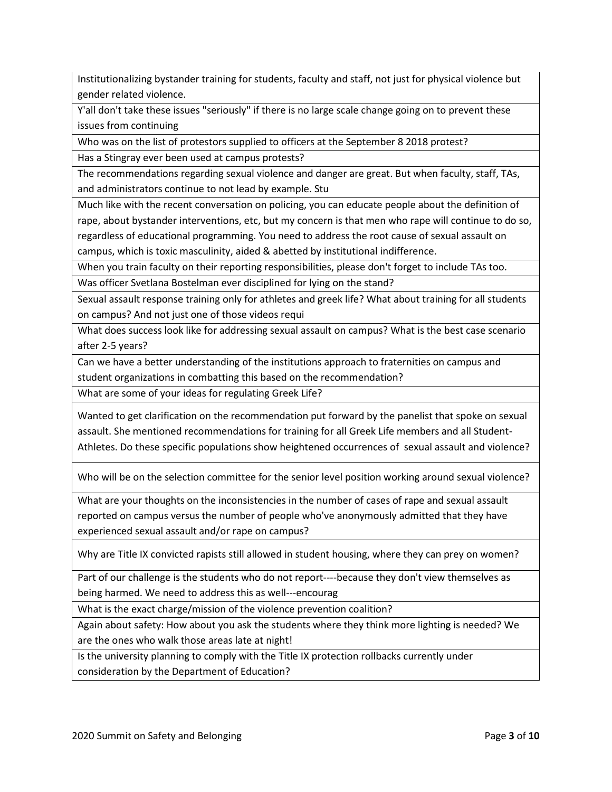Institutionalizing bystander training for students, faculty and staff, not just for physical violence but gender related violence.

Y'all don't take these issues "seriously" if there is no large scale change going on to prevent these issues from continuing

Who was on the list of protestors supplied to officers at the September 8 2018 protest?

Has a Stingray ever been used at campus protests?

The recommendations regarding sexual violence and danger are great. But when faculty, staff, TAs, and administrators continue to not lead by example. Stu

Much like with the recent conversation on policing, you can educate people about the definition of rape, about bystander interventions, etc, but my concern is that men who rape will continue to do so, regardless of educational programming. You need to address the root cause of sexual assault on campus, which is toxic masculinity, aided & abetted by institutional indifference.

When you train faculty on their reporting responsibilities, please don't forget to include TAs too.

Was officer Svetlana Bostelman ever disciplined for lying on the stand?

Sexual assault response training only for athletes and greek life? What about training for all students on campus? And not just one of those videos requi

What does success look like for addressing sexual assault on campus? What is the best case scenario after 2-5 years?

Can we have a better understanding of the institutions approach to fraternities on campus and student organizations in combatting this based on the recommendation?

What are some of your ideas for regulating Greek Life?

Wanted to get clarification on the recommendation put forward by the panelist that spoke on sexual assault. She mentioned recommendations for training for all Greek Life members and all Student-Athletes. Do these specific populations show heightened occurrences of sexual assault and violence?

Who will be on the selection committee for the senior level position working around sexual violence?

What are your thoughts on the inconsistencies in the number of cases of rape and sexual assault reported on campus versus the number of people who've anonymously admitted that they have experienced sexual assault and/or rape on campus?

Why are Title IX convicted rapists still allowed in student housing, where they can prey on women?

Part of our challenge is the students who do not report----because they don't view themselves as being harmed. We need to address this as well---encourag

What is the exact charge/mission of the violence prevention coalition?

Again about safety: How about you ask the students where they think more lighting is needed? We are the ones who walk those areas late at night!

Is the university planning to comply with the Title IX protection rollbacks currently under consideration by the Department of Education?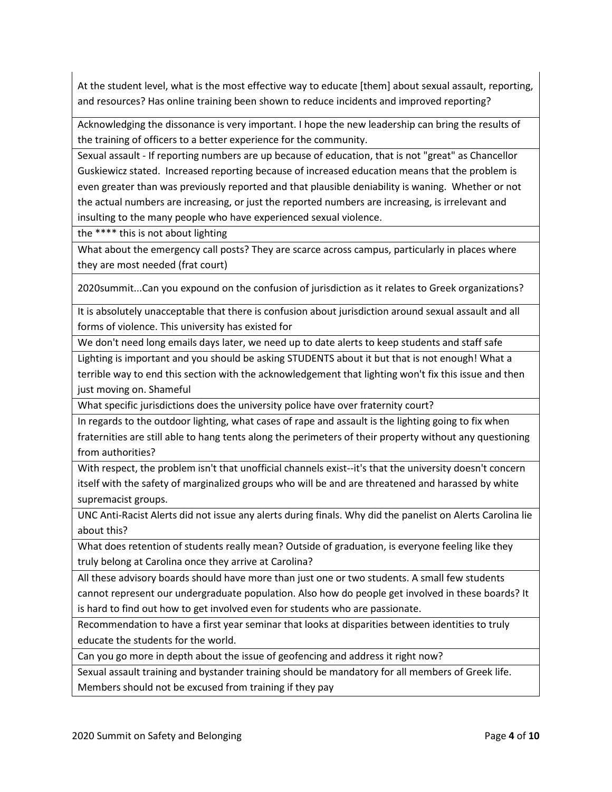At the student level, what is the most effective way to educate [them] about sexual assault, reporting, and resources? Has online training been shown to reduce incidents and improved reporting?

Acknowledging the dissonance is very important. I hope the new leadership can bring the results of the training of officers to a better experience for the community.

Sexual assault - If reporting numbers are up because of education, that is not "great" as Chancellor Guskiewicz stated. Increased reporting because of increased education means that the problem is even greater than was previously reported and that plausible deniability is waning. Whether or not the actual numbers are increasing, or just the reported numbers are increasing, is irrelevant and insulting to the many people who have experienced sexual violence.

the \*\*\*\* this is not about lighting

What about the emergency call posts? They are scarce across campus, particularly in places where they are most needed (frat court)

2020summit...Can you expound on the confusion of jurisdiction as it relates to Greek organizations?

It is absolutely unacceptable that there is confusion about jurisdiction around sexual assault and all forms of violence. This university has existed for

We don't need long emails days later, we need up to date alerts to keep students and staff safe

Lighting is important and you should be asking STUDENTS about it but that is not enough! What a terrible way to end this section with the acknowledgement that lighting won't fix this issue and then

just moving on. Shameful

What specific jurisdictions does the university police have over fraternity court?

In regards to the outdoor lighting, what cases of rape and assault is the lighting going to fix when fraternities are still able to hang tents along the perimeters of their property without any questioning from authorities?

With respect, the problem isn't that unofficial channels exist--it's that the university doesn't concern itself with the safety of marginalized groups who will be and are threatened and harassed by white supremacist groups.

UNC Anti-Racist Alerts did not issue any alerts during finals. Why did the panelist on Alerts Carolina lie about this?

What does retention of students really mean? Outside of graduation, is everyone feeling like they truly belong at Carolina once they arrive at Carolina?

All these advisory boards should have more than just one or two students. A small few students cannot represent our undergraduate population. Also how do people get involved in these boards? It is hard to find out how to get involved even for students who are passionate.

Recommendation to have a first year seminar that looks at disparities between identities to truly educate the students for the world.

Can you go more in depth about the issue of geofencing and address it right now?

Sexual assault training and bystander training should be mandatory for all members of Greek life. Members should not be excused from training if they pay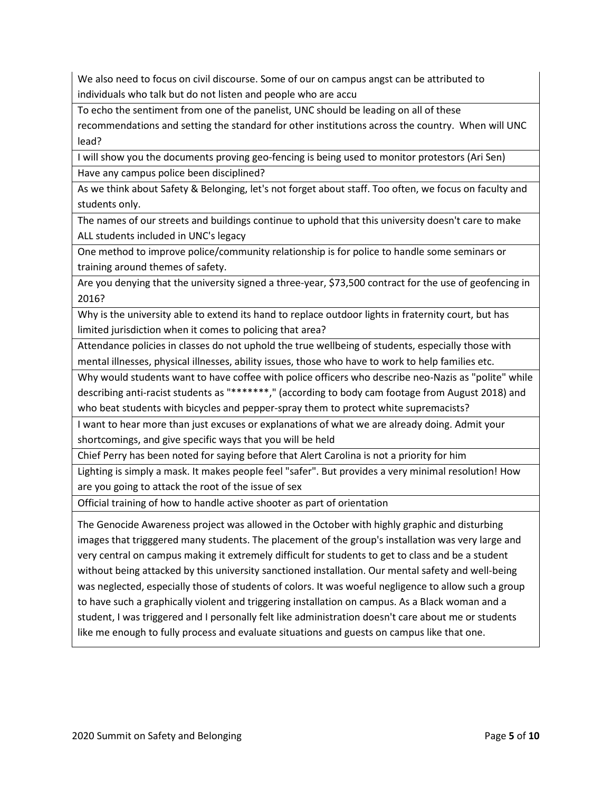We also need to focus on civil discourse. Some of our on campus angst can be attributed to individuals who talk but do not listen and people who are accu

To echo the sentiment from one of the panelist, UNC should be leading on all of these recommendations and setting the standard for other institutions across the country. When will UNC lead?

I will show you the documents proving geo-fencing is being used to monitor protestors (Ari Sen) Have any campus police been disciplined?

As we think about Safety & Belonging, let's not forget about staff. Too often, we focus on faculty and students only.

The names of our streets and buildings continue to uphold that this university doesn't care to make ALL students included in UNC's legacy

One method to improve police/community relationship is for police to handle some seminars or training around themes of safety.

Are you denying that the university signed a three-year, \$73,500 contract for the use of geofencing in 2016?

Why is the university able to extend its hand to replace outdoor lights in fraternity court, but has limited jurisdiction when it comes to policing that area?

Attendance policies in classes do not uphold the true wellbeing of students, especially those with mental illnesses, physical illnesses, ability issues, those who have to work to help families etc.

Why would students want to have coffee with police officers who describe neo-Nazis as "polite" while describing anti-racist students as "\*\*\*\*\*\*\*," (according to body cam footage from August 2018) and

who beat students with bicycles and pepper-spray them to protect white supremacists?

I want to hear more than just excuses or explanations of what we are already doing. Admit your shortcomings, and give specific ways that you will be held

Chief Perry has been noted for saying before that Alert Carolina is not a priority for him

Lighting is simply a mask. It makes people feel "safer". But provides a very minimal resolution! How are you going to attack the root of the issue of sex

Official training of how to handle active shooter as part of orientation

The Genocide Awareness project was allowed in the October with highly graphic and disturbing images that trigggered many students. The placement of the group's installation was very large and very central on campus making it extremely difficult for students to get to class and be a student without being attacked by this university sanctioned installation. Our mental safety and well-being was neglected, especially those of students of colors. It was woeful negligence to allow such a group to have such a graphically violent and triggering installation on campus. As a Black woman and a student, I was triggered and I personally felt like administration doesn't care about me or students like me enough to fully process and evaluate situations and guests on campus like that one.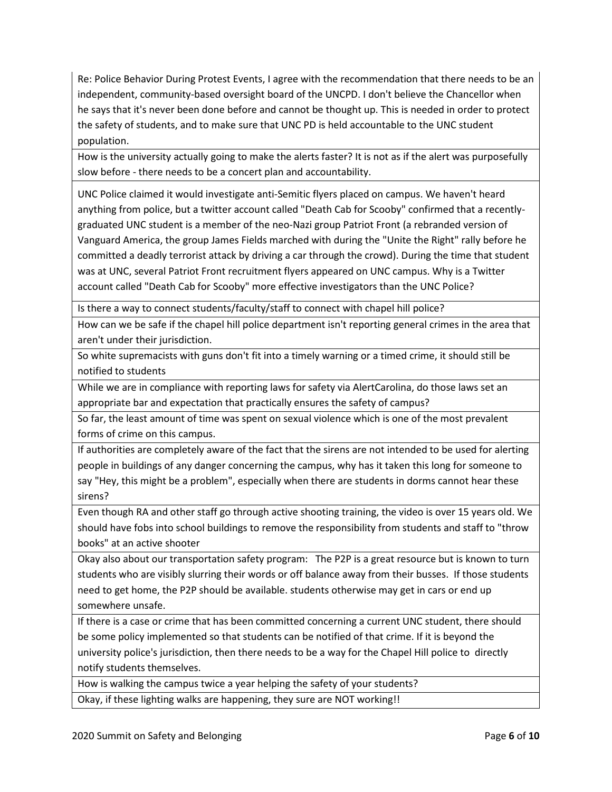Re: Police Behavior During Protest Events, I agree with the recommendation that there needs to be an independent, community-based oversight board of the UNCPD. I don't believe the Chancellor when he says that it's never been done before and cannot be thought up. This is needed in order to protect the safety of students, and to make sure that UNC PD is held accountable to the UNC student population.

How is the university actually going to make the alerts faster? It is not as if the alert was purposefully slow before - there needs to be a concert plan and accountability.

UNC Police claimed it would investigate anti-Semitic flyers placed on campus. We haven't heard anything from police, but a twitter account called "Death Cab for Scooby" confirmed that a recentlygraduated UNC student is a member of the neo-Nazi group Patriot Front (a rebranded version of Vanguard America, the group James Fields marched with during the "Unite the Right" rally before he committed a deadly terrorist attack by driving a car through the crowd). During the time that student was at UNC, several Patriot Front recruitment flyers appeared on UNC campus. Why is a Twitter account called "Death Cab for Scooby" more effective investigators than the UNC Police?

Is there a way to connect students/faculty/staff to connect with chapel hill police?

How can we be safe if the chapel hill police department isn't reporting general crimes in the area that aren't under their jurisdiction.

So white supremacists with guns don't fit into a timely warning or a timed crime, it should still be notified to students

While we are in compliance with reporting laws for safety via AlertCarolina, do those laws set an appropriate bar and expectation that practically ensures the safety of campus?

So far, the least amount of time was spent on sexual violence which is one of the most prevalent forms of crime on this campus.

If authorities are completely aware of the fact that the sirens are not intended to be used for alerting people in buildings of any danger concerning the campus, why has it taken this long for someone to say "Hey, this might be a problem", especially when there are students in dorms cannot hear these sirens?

Even though RA and other staff go through active shooting training, the video is over 15 years old. We should have fobs into school buildings to remove the responsibility from students and staff to "throw books" at an active shooter

Okay also about our transportation safety program: The P2P is a great resource but is known to turn students who are visibly slurring their words or off balance away from their busses. If those students need to get home, the P2P should be available. students otherwise may get in cars or end up somewhere unsafe.

If there is a case or crime that has been committed concerning a current UNC student, there should be some policy implemented so that students can be notified of that crime. If it is beyond the university police's jurisdiction, then there needs to be a way for the Chapel Hill police to directly notify students themselves.

How is walking the campus twice a year helping the safety of your students?

Okay, if these lighting walks are happening, they sure are NOT working!!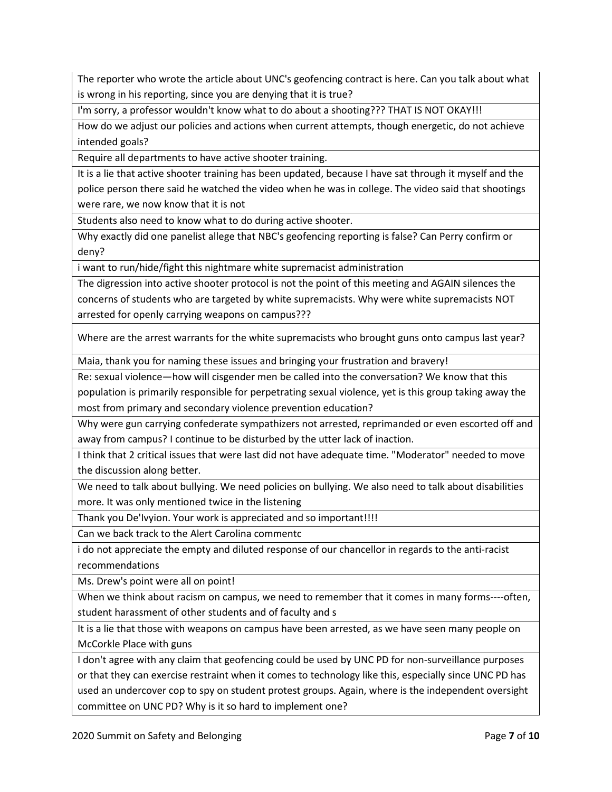The reporter who wrote the article about UNC's geofencing contract is here. Can you talk about what is wrong in his reporting, since you are denying that it is true?

I'm sorry, a professor wouldn't know what to do about a shooting??? THAT IS NOT OKAY!!!

How do we adjust our policies and actions when current attempts, though energetic, do not achieve intended goals?

Require all departments to have active shooter training.

It is a lie that active shooter training has been updated, because I have sat through it myself and the police person there said he watched the video when he was in college. The video said that shootings were rare, we now know that it is not

Students also need to know what to do during active shooter.

Why exactly did one panelist allege that NBC's geofencing reporting is false? Can Perry confirm or deny?

i want to run/hide/fight this nightmare white supremacist administration

The digression into active shooter protocol is not the point of this meeting and AGAIN silences the concerns of students who are targeted by white supremacists. Why were white supremacists NOT arrested for openly carrying weapons on campus???

Where are the arrest warrants for the white supremacists who brought guns onto campus last year?

Maia, thank you for naming these issues and bringing your frustration and bravery!

Re: sexual violence—how will cisgender men be called into the conversation? We know that this

population is primarily responsible for perpetrating sexual violence, yet is this group taking away the most from primary and secondary violence prevention education?

Why were gun carrying confederate sympathizers not arrested, reprimanded or even escorted off and away from campus? I continue to be disturbed by the utter lack of inaction.

I think that 2 critical issues that were last did not have adequate time. "Moderator" needed to move the discussion along better.

We need to talk about bullying. We need policies on bullying. We also need to talk about disabilities more. It was only mentioned twice in the listening

Thank you De'Ivyion. Your work is appreciated and so important!!!!

Can we back track to the Alert Carolina commentc

i do not appreciate the empty and diluted response of our chancellor in regards to the anti-racist recommendations

Ms. Drew's point were all on point!

When we think about racism on campus, we need to remember that it comes in many forms----often, student harassment of other students and of faculty and s

It is a lie that those with weapons on campus have been arrested, as we have seen many people on McCorkle Place with guns

I don't agree with any claim that geofencing could be used by UNC PD for non-surveillance purposes

or that they can exercise restraint when it comes to technology like this, especially since UNC PD has used an undercover cop to spy on student protest groups. Again, where is the independent oversight committee on UNC PD? Why is it so hard to implement one?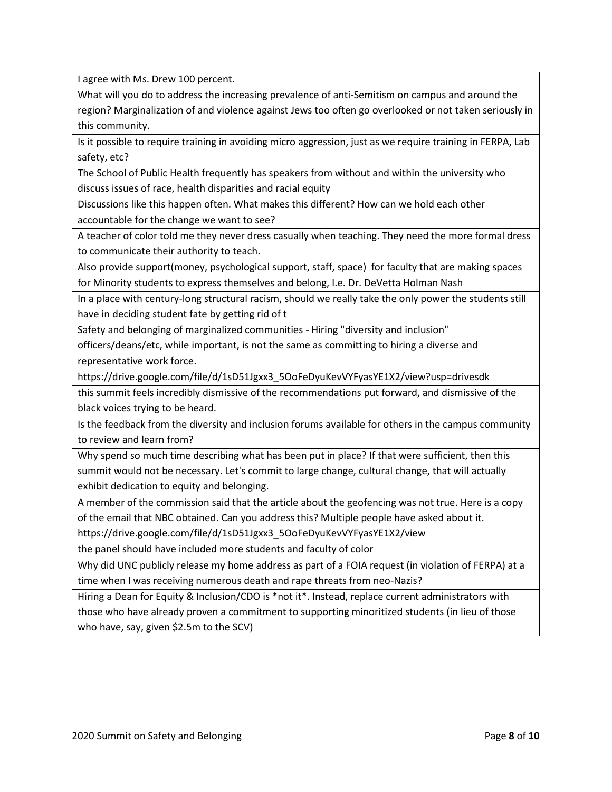I agree with Ms. Drew 100 percent.

What will you do to address the increasing prevalence of anti-Semitism on campus and around the region? Marginalization of and violence against Jews too often go overlooked or not taken seriously in this community.

Is it possible to require training in avoiding micro aggression, just as we require training in FERPA, Lab safety, etc?

The School of Public Health frequently has speakers from without and within the university who discuss issues of race, health disparities and racial equity

Discussions like this happen often. What makes this different? How can we hold each other accountable for the change we want to see?

A teacher of color told me they never dress casually when teaching. They need the more formal dress to communicate their authority to teach.

Also provide support(money, psychological support, staff, space) for faculty that are making spaces for Minority students to express themselves and belong, I.e. Dr. DeVetta Holman Nash

In a place with century-long structural racism, should we really take the only power the students still have in deciding student fate by getting rid of t

Safety and belonging of marginalized communities - Hiring "diversity and inclusion"

officers/deans/etc, while important, is not the same as committing to hiring a diverse and representative work force.

https://drive.google.com/file/d/1sD51Jgxx3\_5OoFeDyuKevVYFyasYE1X2/view?usp=drivesdk

this summit feels incredibly dismissive of the recommendations put forward, and dismissive of the black voices trying to be heard.

Is the feedback from the diversity and inclusion forums available for others in the campus community to review and learn from?

Why spend so much time describing what has been put in place? If that were sufficient, then this summit would not be necessary. Let's commit to large change, cultural change, that will actually exhibit dedication to equity and belonging.

A member of the commission said that the article about the geofencing was not true. Here is a copy of the email that NBC obtained. Can you address this? Multiple people have asked about it.

https://drive.google.com/file/d/1sD51Jgxx3\_5OoFeDyuKevVYFyasYE1X2/view

the panel should have included more students and faculty of color

Why did UNC publicly release my home address as part of a FOIA request (in violation of FERPA) at a time when I was receiving numerous death and rape threats from neo-Nazis?

Hiring a Dean for Equity & Inclusion/CDO is \*not it\*. Instead, replace current administrators with those who have already proven a commitment to supporting minoritized students (in lieu of those who have, say, given \$2.5m to the SCV)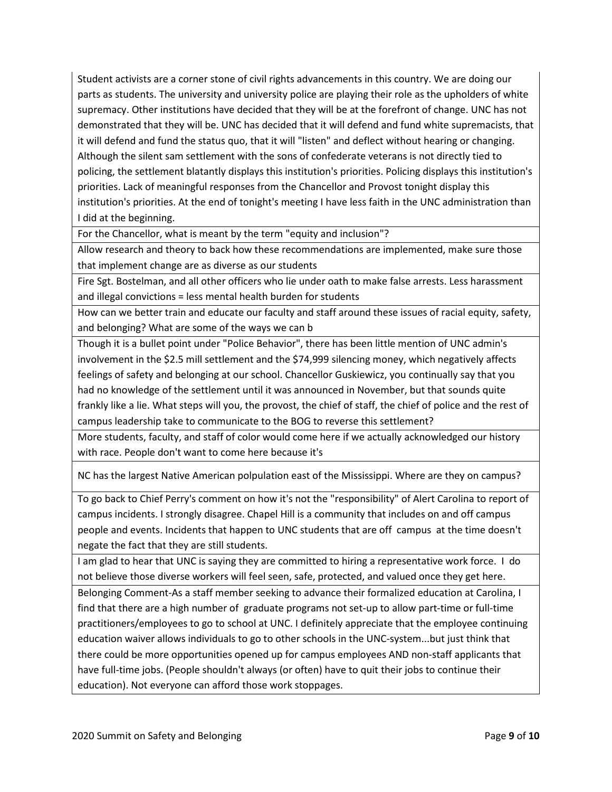Student activists are a corner stone of civil rights advancements in this country. We are doing our parts as students. The university and university police are playing their role as the upholders of white supremacy. Other institutions have decided that they will be at the forefront of change. UNC has not demonstrated that they will be. UNC has decided that it will defend and fund white supremacists, that it will defend and fund the status quo, that it will "listen" and deflect without hearing or changing. Although the silent sam settlement with the sons of confederate veterans is not directly tied to policing, the settlement blatantly displays this institution's priorities. Policing displays this institution's priorities. Lack of meaningful responses from the Chancellor and Provost tonight display this institution's priorities. At the end of tonight's meeting I have less faith in the UNC administration than I did at the beginning.

For the Chancellor, what is meant by the term "equity and inclusion"?

Allow research and theory to back how these recommendations are implemented, make sure those that implement change are as diverse as our students

Fire Sgt. Bostelman, and all other officers who lie under oath to make false arrests. Less harassment and illegal convictions = less mental health burden for students

How can we better train and educate our faculty and staff around these issues of racial equity, safety, and belonging? What are some of the ways we can b

Though it is a bullet point under "Police Behavior", there has been little mention of UNC admin's involvement in the \$2.5 mill settlement and the \$74,999 silencing money, which negatively affects feelings of safety and belonging at our school. Chancellor Guskiewicz, you continually say that you had no knowledge of the settlement until it was announced in November, but that sounds quite frankly like a lie. What steps will you, the provost, the chief of staff, the chief of police and the rest of campus leadership take to communicate to the BOG to reverse this settlement?

More students, faculty, and staff of color would come here if we actually acknowledged our history with race. People don't want to come here because it's

NC has the largest Native American polpulation east of the Mississippi. Where are they on campus?

To go back to Chief Perry's comment on how it's not the "responsibility" of Alert Carolina to report of campus incidents. I strongly disagree. Chapel Hill is a community that includes on and off campus people and events. Incidents that happen to UNC students that are off campus at the time doesn't negate the fact that they are still students.

I am glad to hear that UNC is saying they are committed to hiring a representative work force. I do not believe those diverse workers will feel seen, safe, protected, and valued once they get here. Belonging Comment-As a staff member seeking to advance their formalized education at Carolina, I find that there are a high number of graduate programs not set-up to allow part-time or full-time practitioners/employees to go to school at UNC. I definitely appreciate that the employee continuing education waiver allows individuals to go to other schools in the UNC-system...but just think that there could be more opportunities opened up for campus employees AND non-staff applicants that have full-time jobs. (People shouldn't always (or often) have to quit their jobs to continue their education). Not everyone can afford those work stoppages.